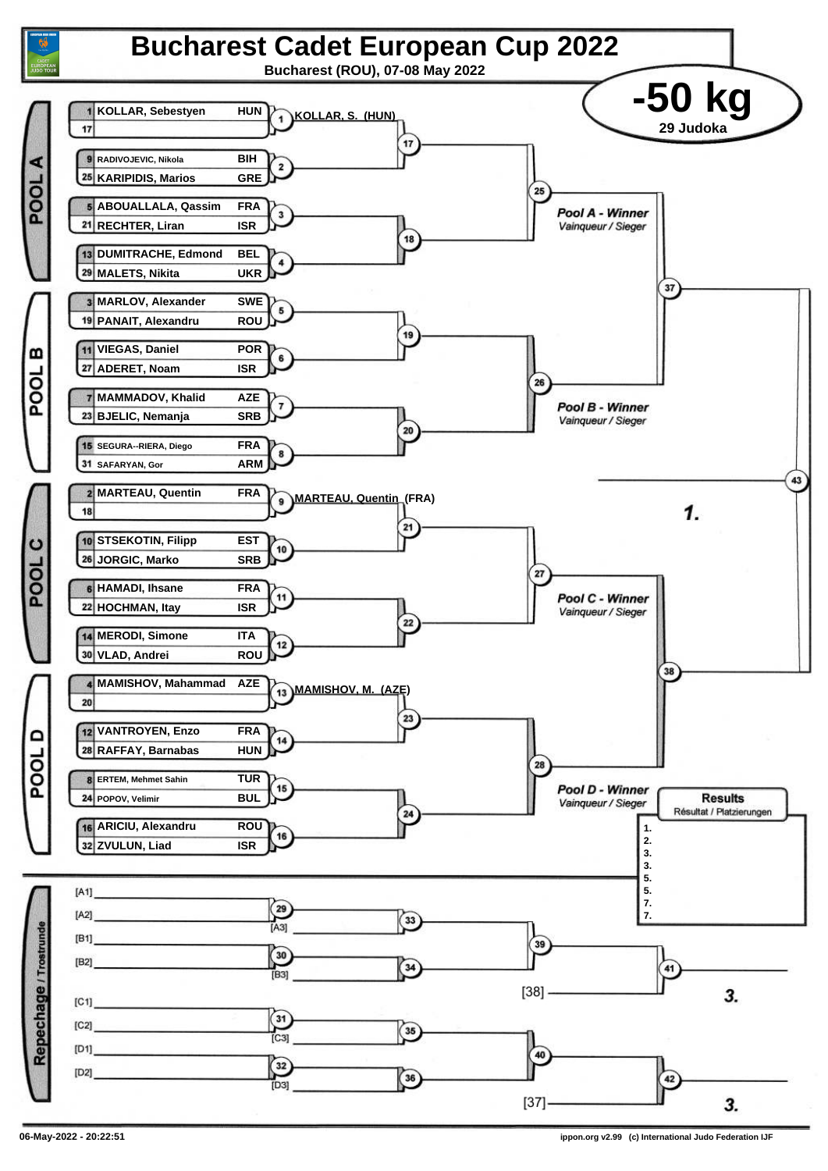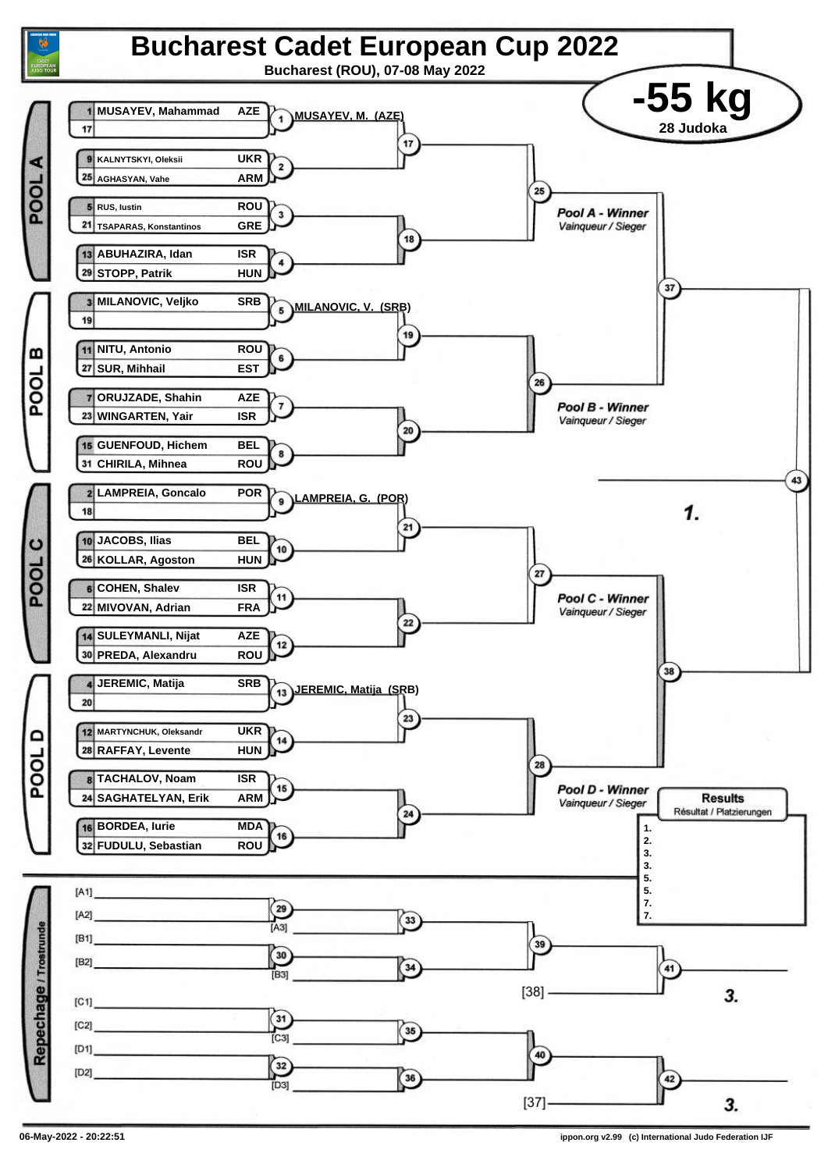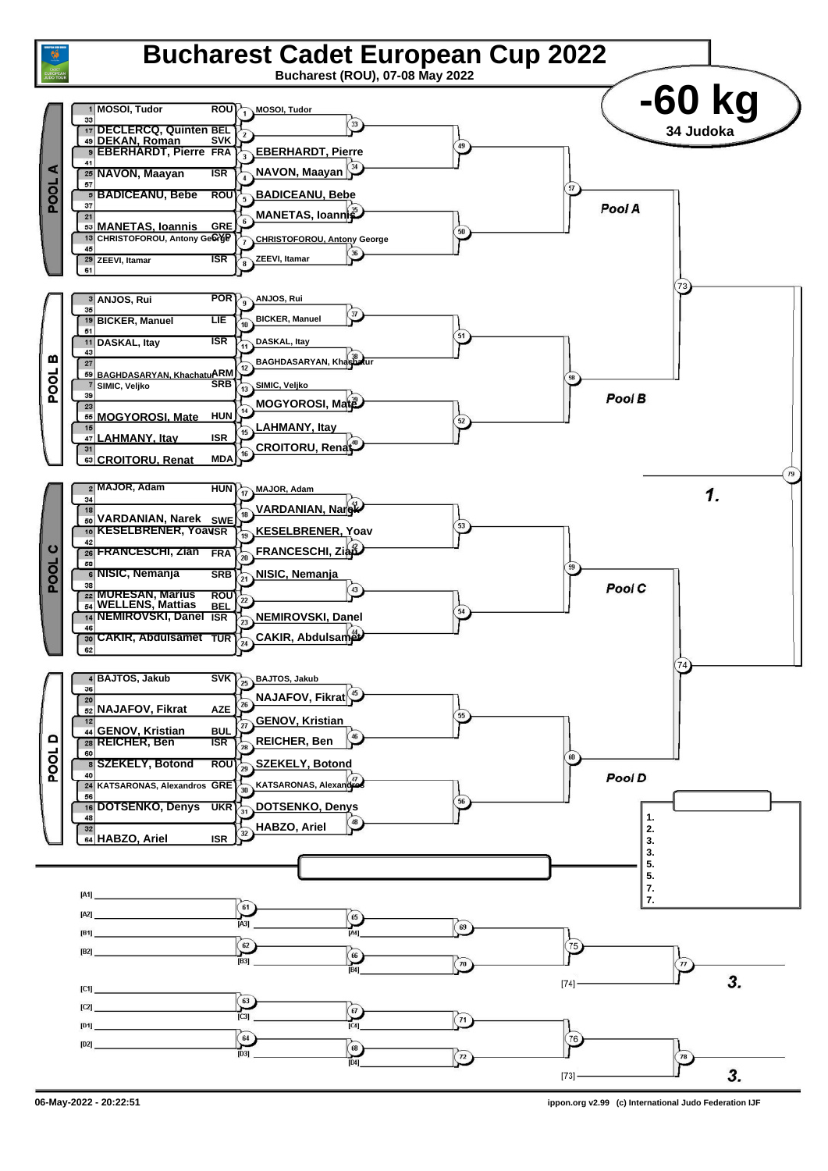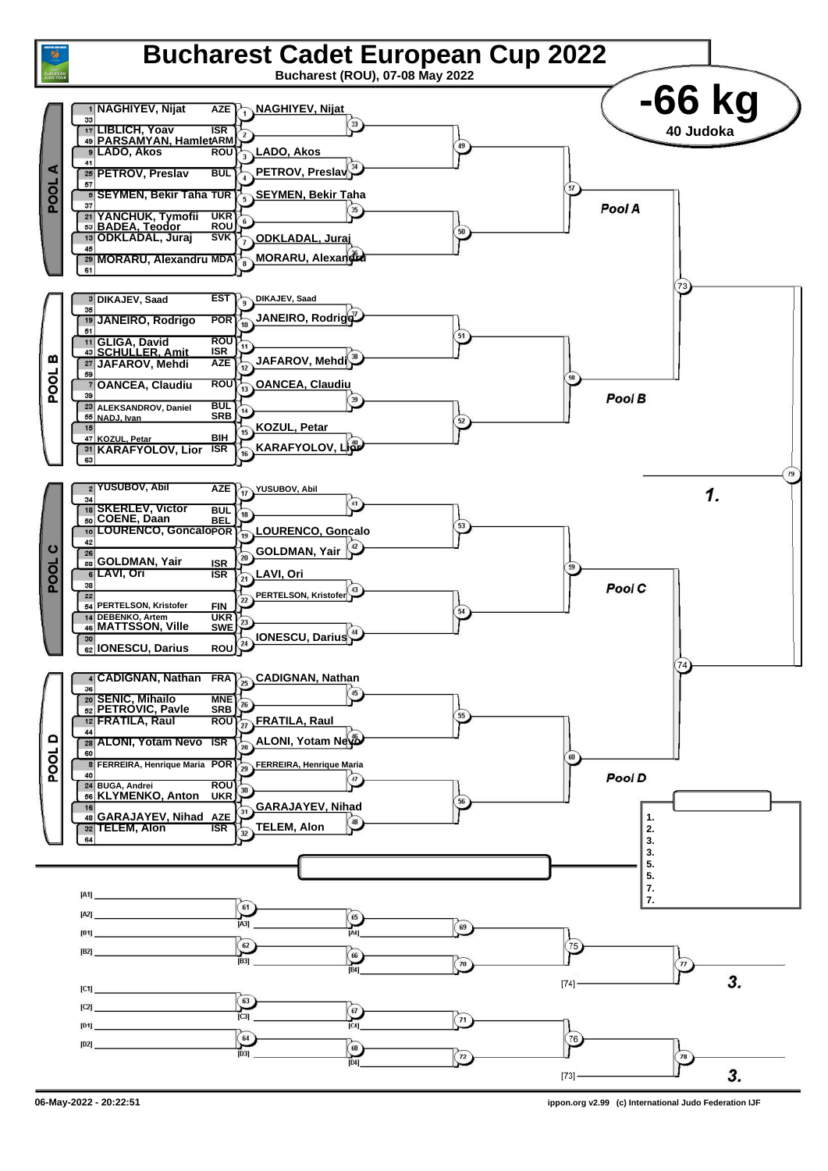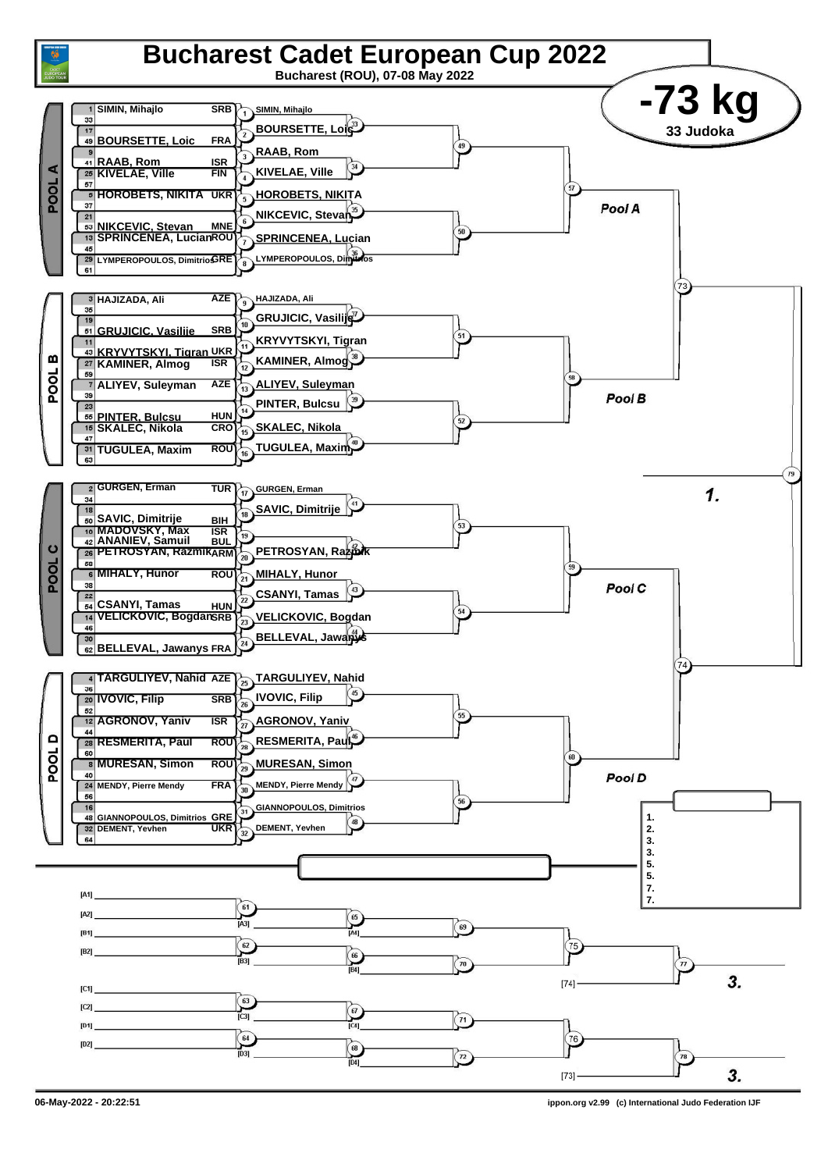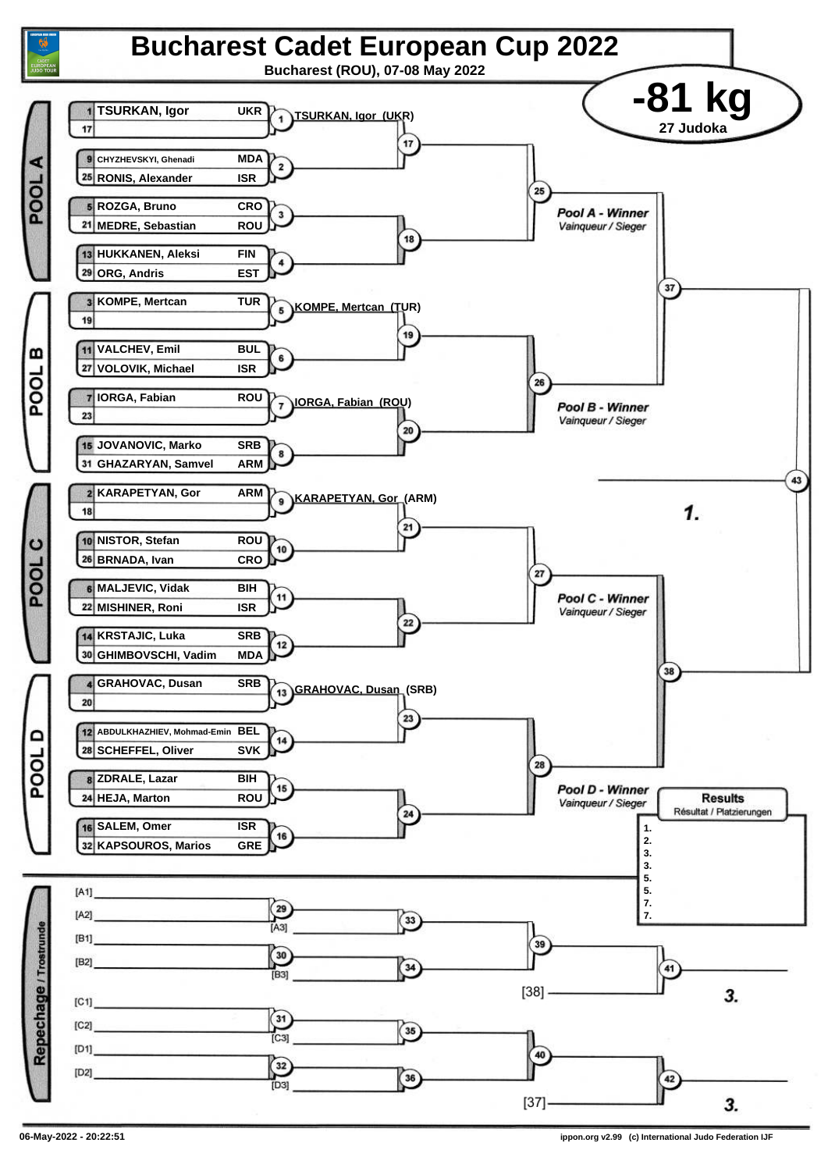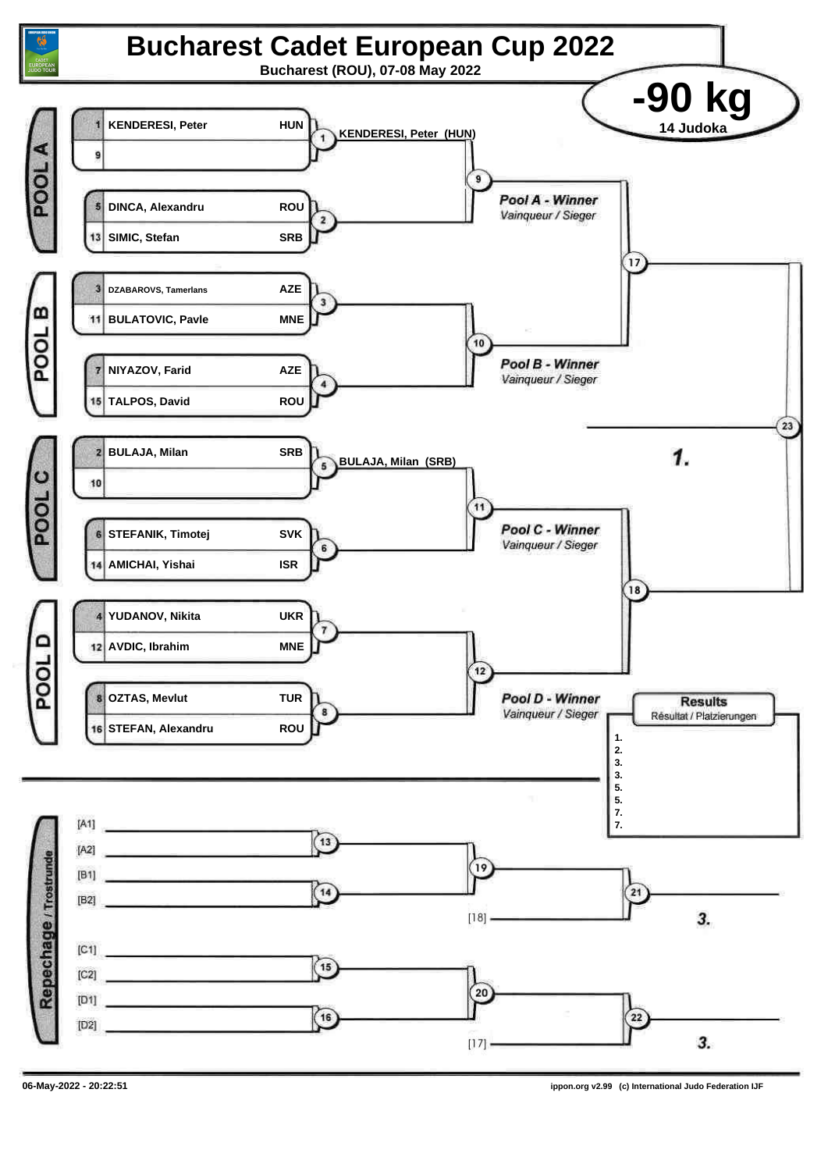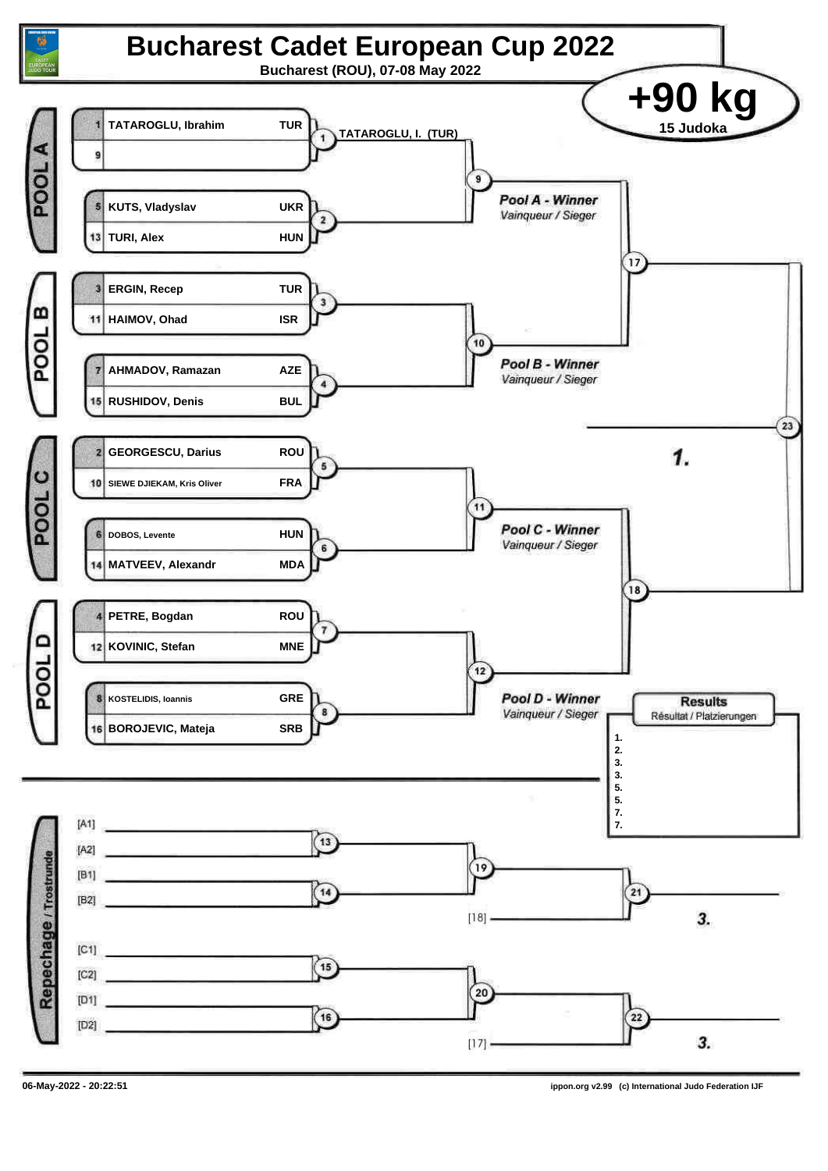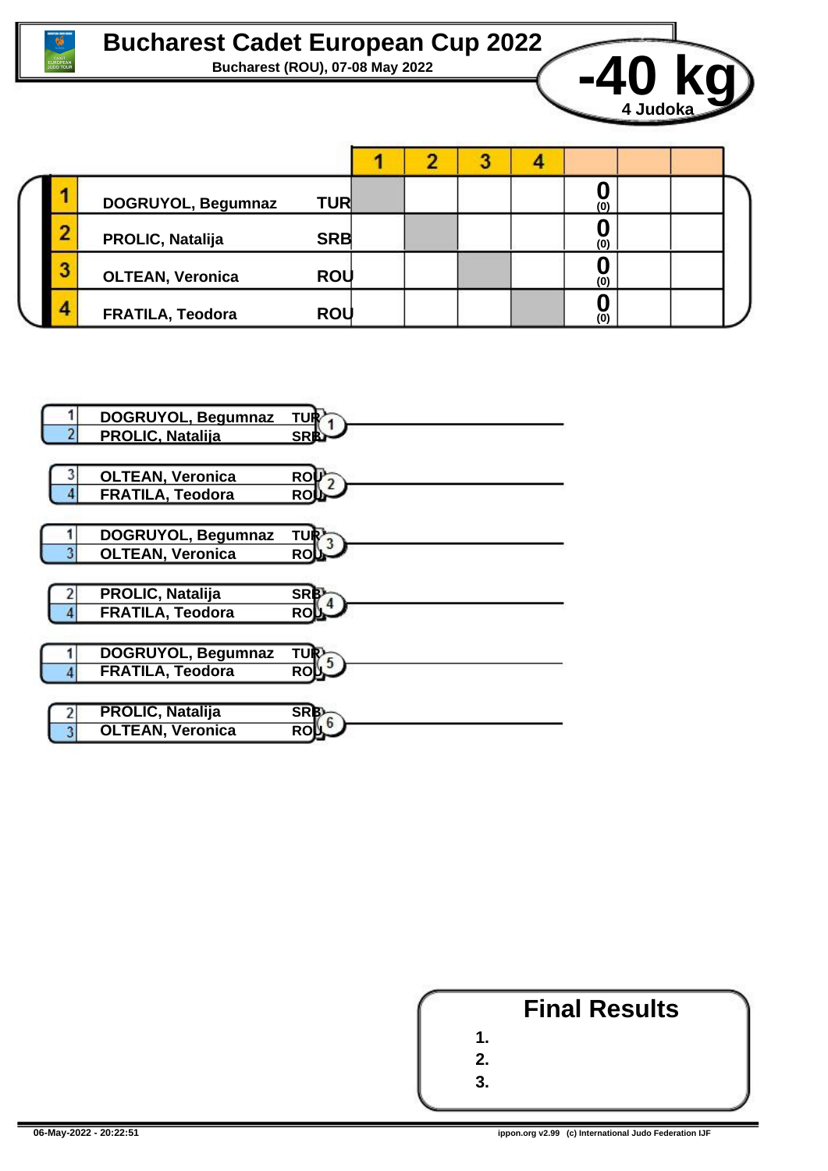



|  |   | DOGRUYOL, Begumnaz      | <b>TUR</b> |  |  |  |  | (0)            |  |  |
|--|---|-------------------------|------------|--|--|--|--|----------------|--|--|
|  | ╌ | PROLIC, Natalija        | <b>SRB</b> |  |  |  |  | $\overline{0}$ |  |  |
|  |   | <b>OLTEAN, Veronica</b> | <b>ROU</b> |  |  |  |  | (0)            |  |  |
|  | д | <b>FRATILA, Teodora</b> | <b>ROU</b> |  |  |  |  | (0)            |  |  |



|                            | <b>Final Results</b> |  |
|----------------------------|----------------------|--|
| $\mathbf 1$                |                      |  |
| $2_{\scriptscriptstyle -}$ |                      |  |
| ર                          |                      |  |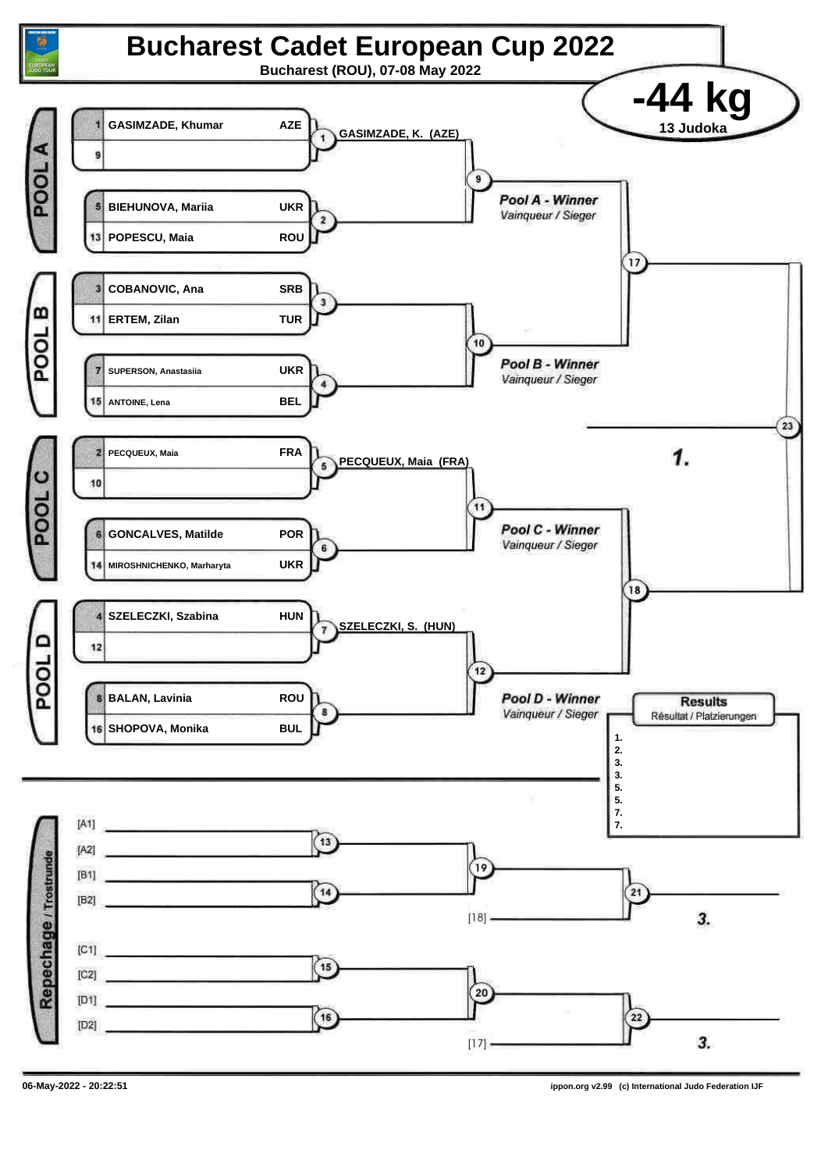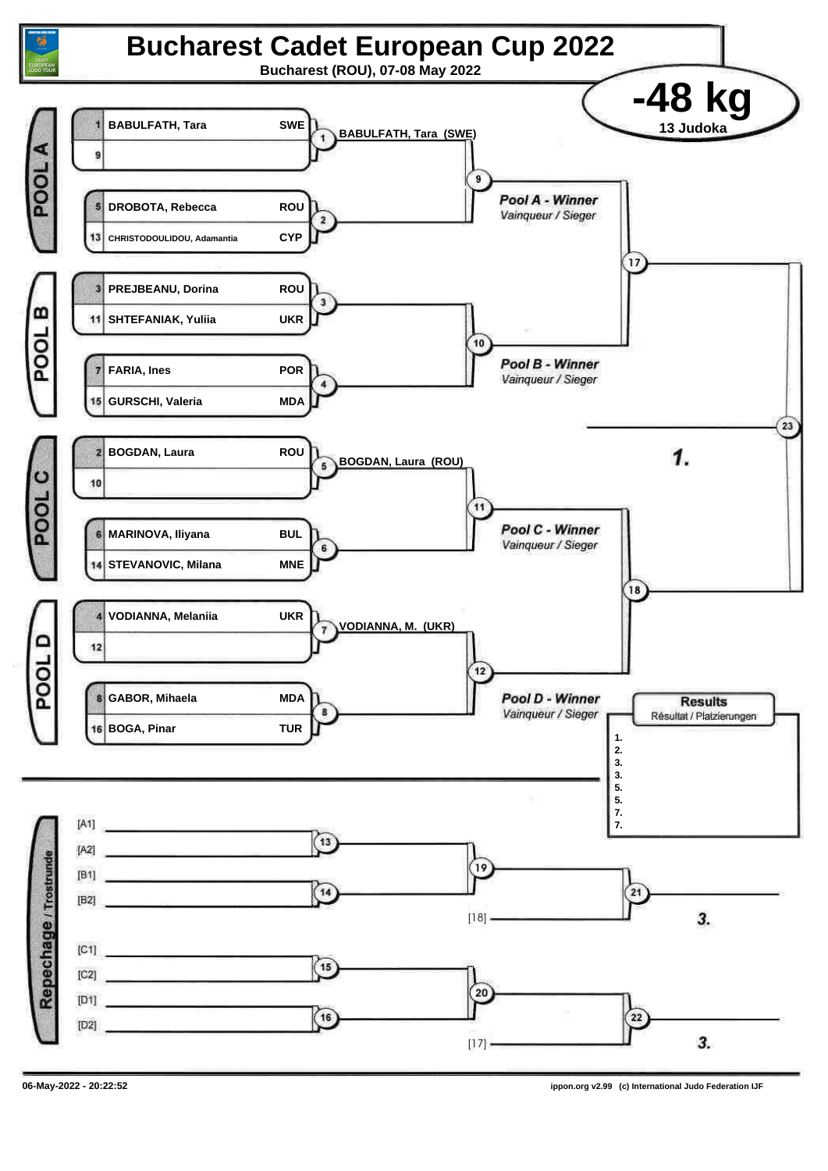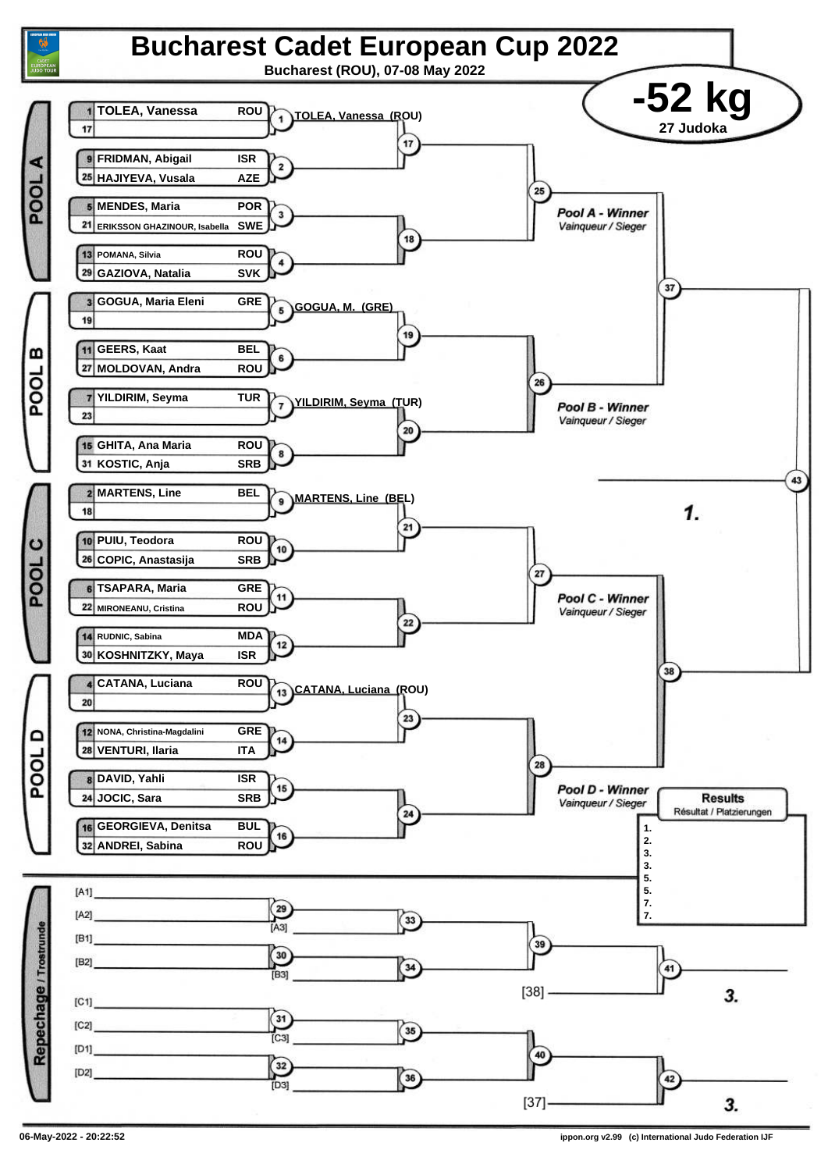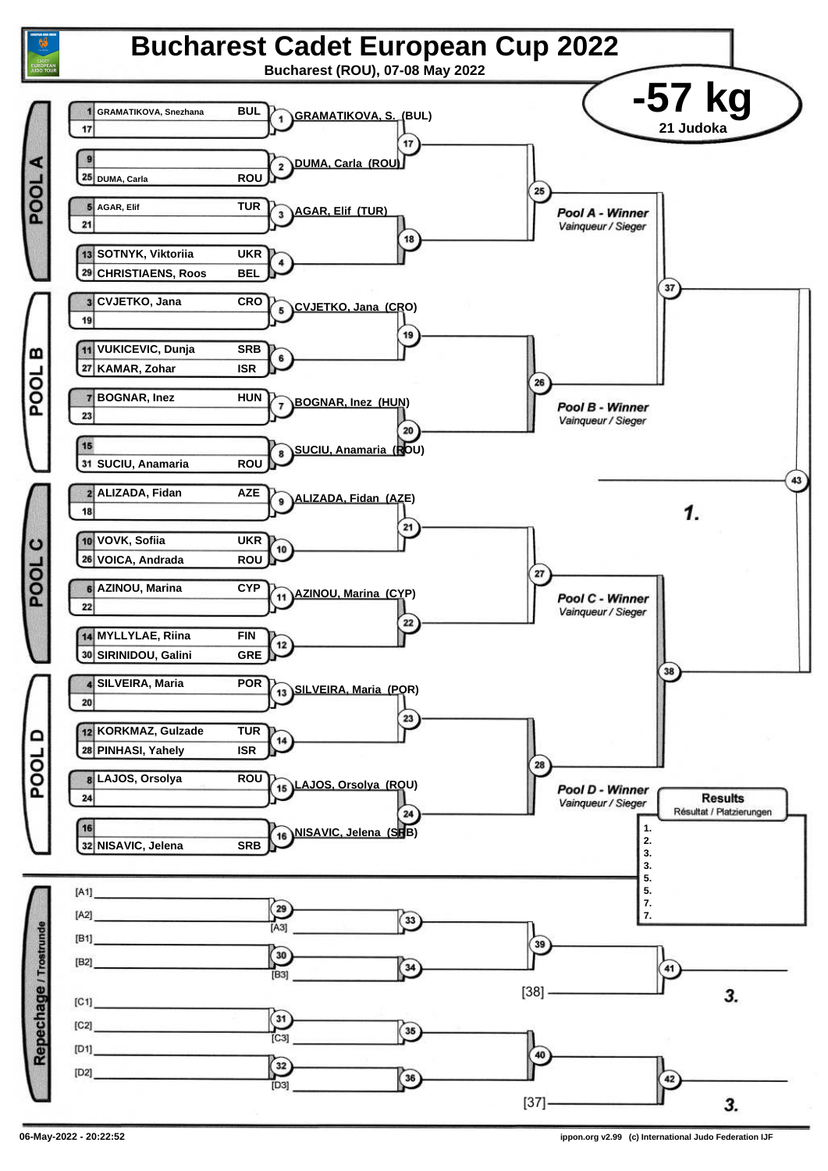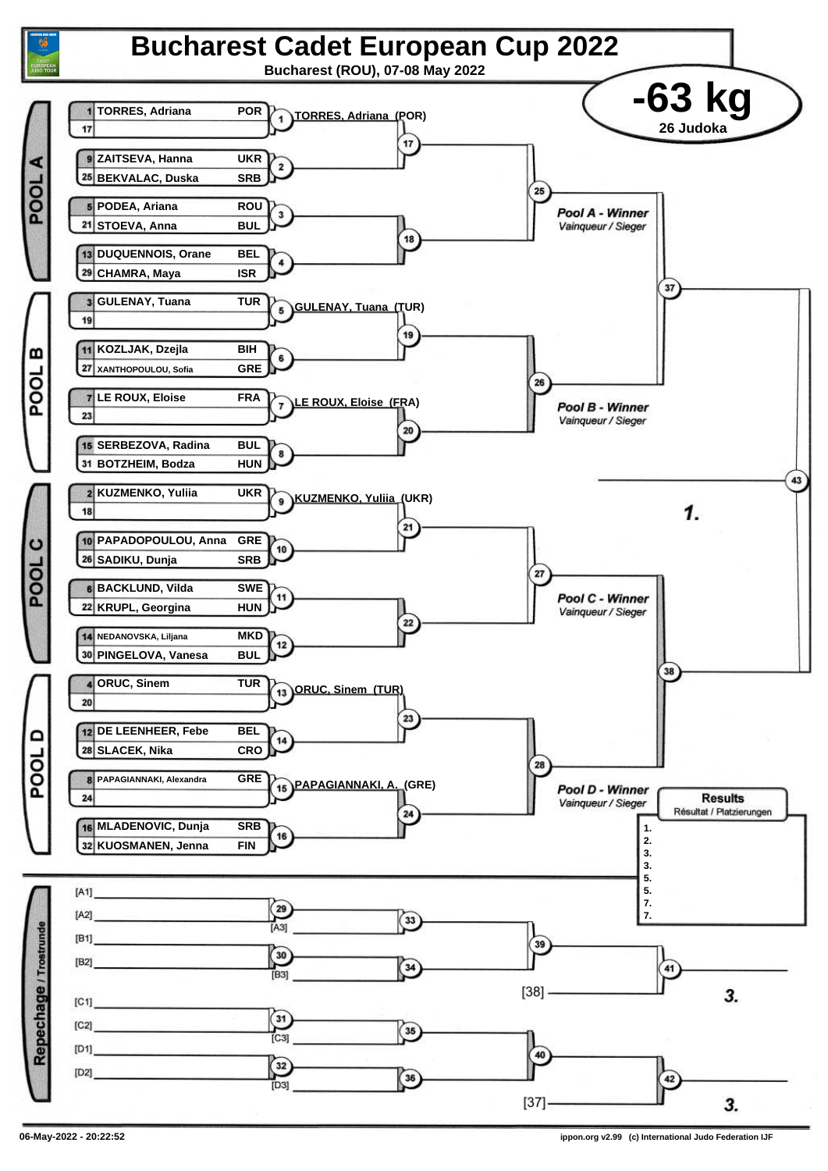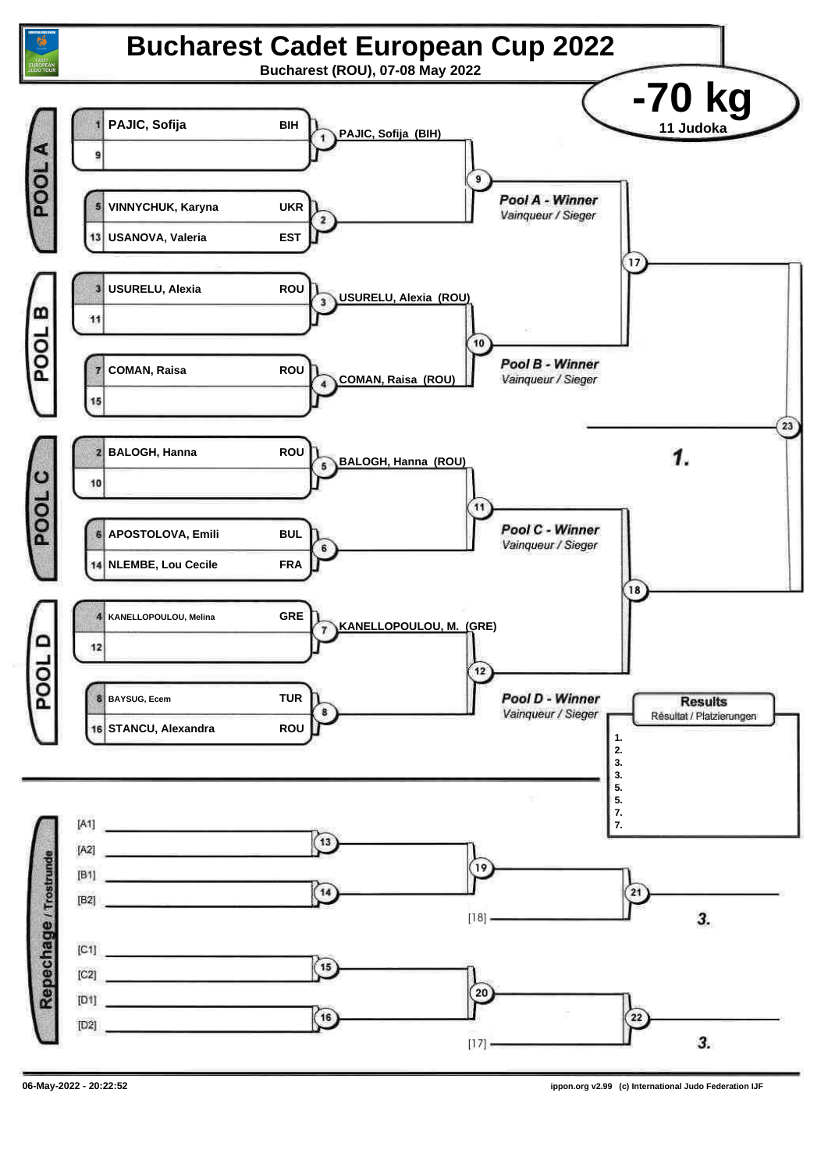